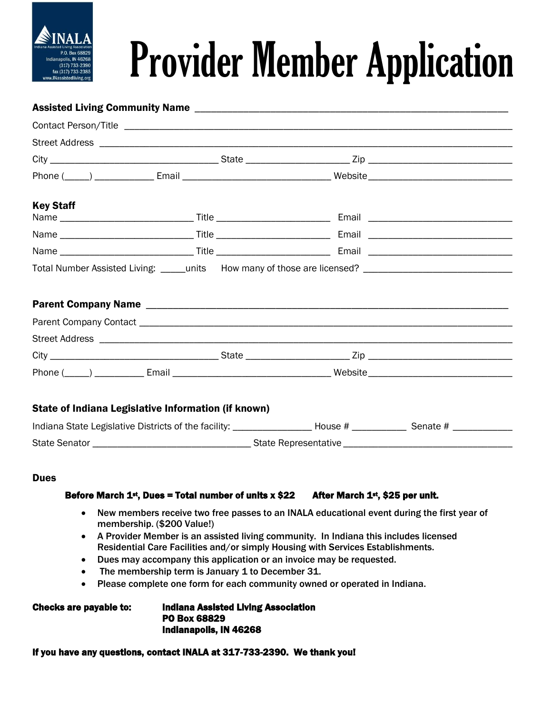

# **Provider Member Application**

#### Assisted Living Community Name

| <b>Key Staff</b> |                                                                                                                        |  |
|------------------|------------------------------------------------------------------------------------------------------------------------|--|
|                  |                                                                                                                        |  |
|                  |                                                                                                                        |  |
|                  |                                                                                                                        |  |
|                  | Total Number Assisted Living: _____units How many of those are licensed? ___________________________                   |  |
|                  |                                                                                                                        |  |
|                  |                                                                                                                        |  |
|                  |                                                                                                                        |  |
|                  |                                                                                                                        |  |
|                  |                                                                                                                        |  |
|                  | State of Indiana Legislative Information (if known)                                                                    |  |
|                  | Indiana State Legislative Districts of the facility: ___________________House # _______________ Senate # _____________ |  |
|                  |                                                                                                                        |  |

#### Dues

#### Before March 1<sup>st</sup>, Dues = Total number of units x \$22 After March 1<sup>st</sup>, \$25 per unit.

- New members receive two free passes to an INALA educational event during the first year of membership. (\$200 Value!)
- A Provider Member is an assisted living community. In Indiana this includes licensed Residential Care Facilities and/or simply Housing with Services Establishments.
- Dues may accompany this application or an invoice may be requested.
- The membership term is January 1 to December 31.
- Please complete one form for each community owned or operated in Indiana.

Checks are payable to: Indiana Assisted Living Association PO Box 68829 Indianapolis, IN 46268

If you have any questions, contact INALA at 317-733-2390. We thank you!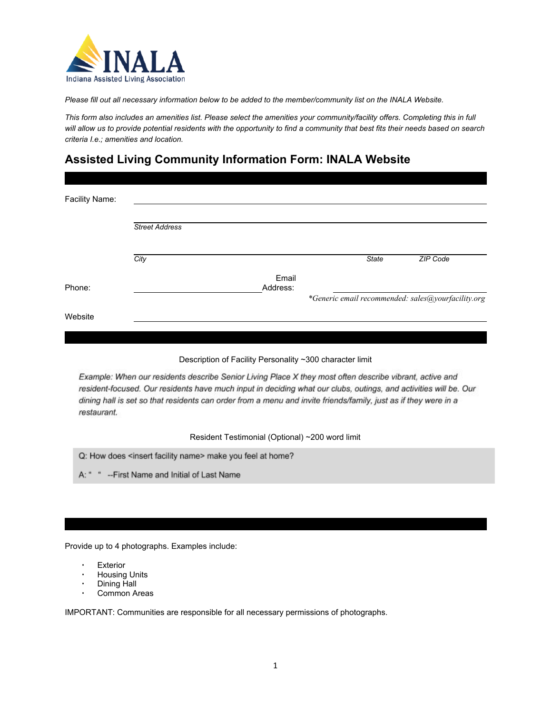

Please fill out all necessary information below to be added to the member/community list on the INALA Website.

This form also includes an amenities list. Please select the amenities your community/facility offers. Completing this in full will allow us to provide potential residents with the opportunity to find a community that best fits their needs based on search *criteria I.e.; amenities and location.*

## **Assisted Living Community Information Form: INALA Website**

| Facility Name: |                       |                   |                                                    |          |
|----------------|-----------------------|-------------------|----------------------------------------------------|----------|
|                | <b>Street Address</b> |                   |                                                    |          |
|                | City                  |                   | <b>State</b>                                       | ZIP Code |
| Phone:         |                       | Email<br>Address: |                                                    |          |
| Website        |                       |                   | *Generic email recommended: sales@yourfacility.org |          |

Description of Facility Personality ~300 character limit

Example: When our residents describe Senior Living Place X they most often describe vibrant, active and resident-focused. Our residents have much input in deciding what our clubs, outings, and activities will be. Our dining hall is set so that residents can order from a menu and invite friends/family, just as if they were in a restaurant.

Resident Testimonial (Optional) ~200 word limit

Q: How does <insert facility name> make you feel at home?

A: " " -- First Name and Initial of Last Name

Provide up to 4 photographs. Examples include:

- **Exterior**
- **Housing Units**
- **Dining Hall**
- Common Areas

IMPORTANT: Communities are responsible for all necessary permissions of photographs.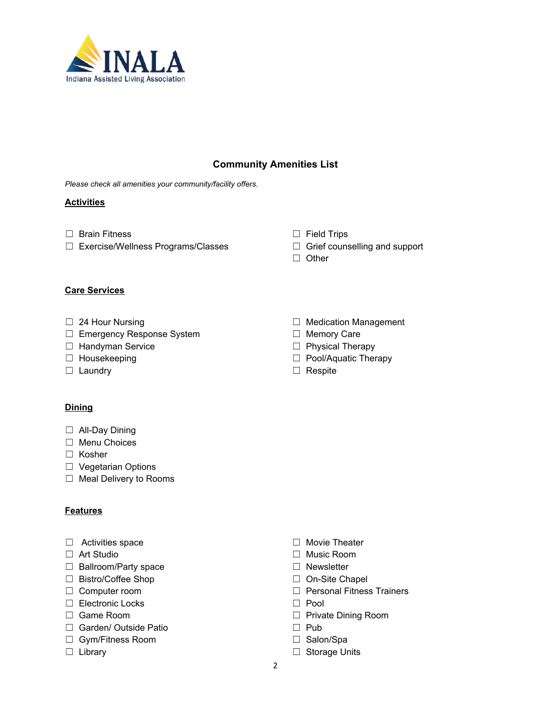

### **Community Amenities List**

*Please check all amenities your community/facility offers.*

#### **Activities**

- □ Brain Fitness
- ☐ Exercise/Wellness Programs/Classes
- ☐ Field Trips
- □ Grief counselling and support
- ☐ Other

#### **Care Services**

- □ 24 Hour Nursing
- □ Emergency Response System
- □ Handyman Service
- ☐ Housekeeping
- □ Laundry

#### **Dining**

- □ All-Day Dining
- ☐ Menu Choices
- ☐ Kosher
- □ Vegetarian Options
- □ Meal Delivery to Rooms

#### **Features**

- □ Activities space
- ☐ Art Studio
- □ Ballroom/Party space
- ☐ Bistro/Coffee Shop
- □ Computer room
- ☐ Electronic Locks
- □ Game Room
- □ Garden/ Outside Patio
- ☐ Gym/Fitness Room
- □ Library
- □ Medication Management
- □ Memory Care
- ☐ Physical Therapy
- □ Pool/Aquatic Therapy
- ☐ Respite

- ☐ Movie Theater
- ☐ Music Room
- ☐ Newsletter
- □ On-Site Chapel
- ☐ Personal Fitness Trainers
- ☐ Pool
- ☐ Private Dining Room
- ☐ Pub
- □ Salon/Spa
- □ Storage Units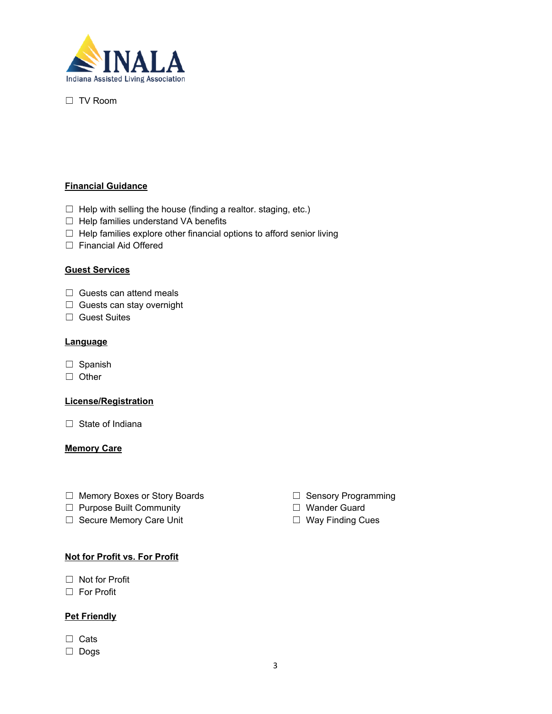

☐ TV Room

#### **Financial Guidance**

- $\Box$  Help with selling the house (finding a realtor. staging, etc.)
- □ Help families understand VA benefits
- $\Box$  Help families explore other financial options to afford senior living
- ☐ Financial Aid Offered

#### **Guest Services**

- □ Guests can attend meals
- □ Guests can stay overnight
- □ Guest Suites

#### **Language**

- □ Spanish
- ☐ Other

#### **License/Registration**

□ State of Indiana

#### **Memory Care**

- ☐ Memory Boxes or Story Boards
- □ Purpose Built Community
- □ Secure Memory Care Unit

#### **Not for Profit vs. For Profit**

- ☐ Not for Profit
- ☐ For Profit

#### **Pet Friendly**

- ☐ Cats
- ☐ Dogs
- □ Sensory Programming
- ☐ Wander Guard
- ☐ Way Finding Cues